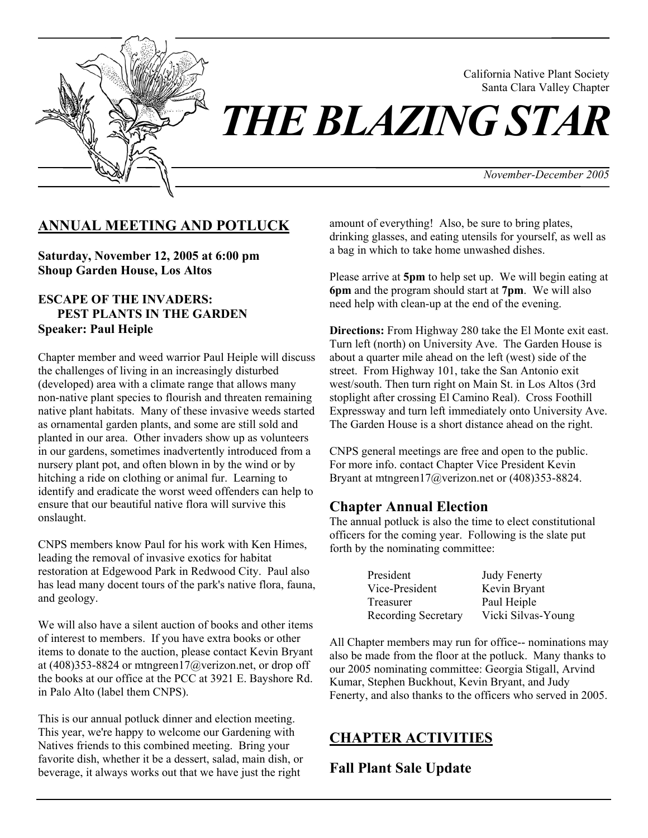

California Native Plant Society Santa Clara Valley Chapter

*November-December 2005* 

# **ANNUAL MEETING AND POTLUCK**

**Saturday, November 12, 2005 at 6:00 pm Shoup Garden House, Los Altos** 

### **ESCAPE OF THE INVADERS: PEST PLANTS IN THE GARDEN Speaker: Paul Heiple**

Chapter member and weed warrior Paul Heiple will discuss the challenges of living in an increasingly disturbed (developed) area with a climate range that allows many non-native plant species to flourish and threaten remaining native plant habitats. Many of these invasive weeds started as ornamental garden plants, and some are still sold and planted in our area. Other invaders show up as volunteers in our gardens, sometimes inadvertently introduced from a nursery plant pot, and often blown in by the wind or by hitching a ride on clothing or animal fur. Learning to identify and eradicate the worst weed offenders can help to ensure that our beautiful native flora will survive this onslaught.

CNPS members know Paul for his work with Ken Himes, leading the removal of invasive exotics for habitat restoration at Edgewood Park in Redwood City. Paul also has lead many docent tours of the park's native flora, fauna, and geology.

We will also have a silent auction of books and other items of interest to members. If you have extra books or other items to donate to the auction, please contact Kevin Bryant at  $(408)353-8824$  or mtngreen  $17@$  verizon.net, or drop off the books at our office at the PCC at 3921 E. Bayshore Rd. in Palo Alto (label them CNPS).

This is our annual potluck dinner and election meeting. This year, we're happy to welcome our Gardening with Natives friends to this combined meeting. Bring your favorite dish, whether it be a dessert, salad, main dish, or beverage, it always works out that we have just the right

amount of everything! Also, be sure to bring plates, drinking glasses, and eating utensils for yourself, as well as a bag in which to take home unwashed dishes.

Please arrive at **5pm** to help set up. We will begin eating at **6pm** and the program should start at **7pm**. We will also need help with clean-up at the end of the evening.

**Directions:** From Highway 280 take the El Monte exit east. Turn left (north) on University Ave. The Garden House is about a quarter mile ahead on the left (west) side of the street. From Highway 101, take the San Antonio exit west/south. Then turn right on Main St. in Los Altos (3rd stoplight after crossing El Camino Real). Cross Foothill Expressway and turn left immediately onto University Ave. The Garden House is a short distance ahead on the right.

CNPS general meetings are free and open to the public. For more info. contact Chapter Vice President Kevin Bryant at mtngreen17@verizon.net or (408)353-8824.

### **Chapter Annual Election**

The annual potluck is also the time to elect constitutional officers for the coming year. Following is the slate put forth by the nominating committee:

| President           | <b>Judy Fenerty</b> |  |
|---------------------|---------------------|--|
| Vice-President      | Kevin Bryant        |  |
| Treasurer           | Paul Heiple         |  |
| Recording Secretary | Vicki Silvas-Young  |  |

All Chapter members may run for office-- nominations may also be made from the floor at the potluck. Many thanks to our 2005 nominating committee: Georgia Stigall, Arvind Kumar, Stephen Buckhout, Kevin Bryant, and Judy Fenerty, and also thanks to the officers who served in 2005.

# **CHAPTER ACTIVITIES**

**Fall Plant Sale Update**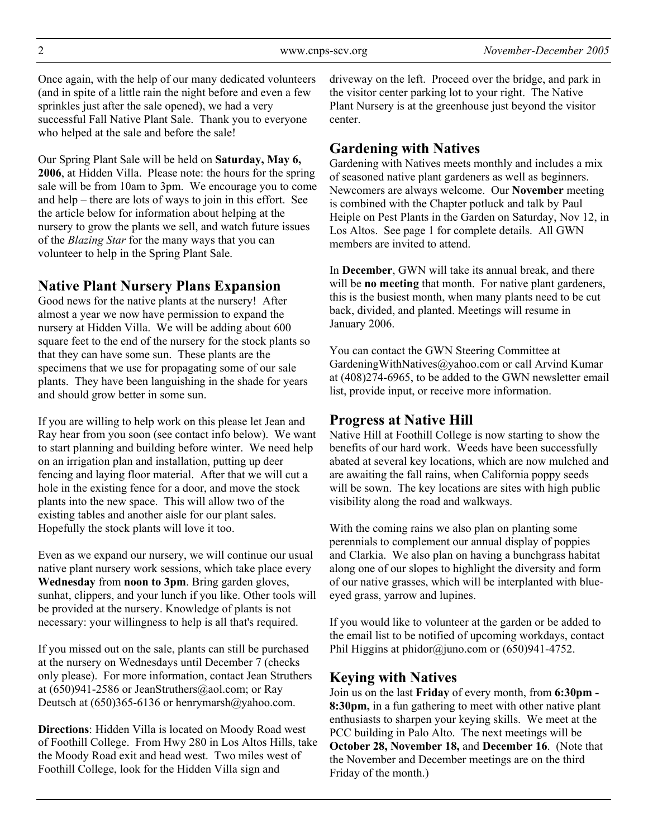Once again, with the help of our many dedicated volunteers (and in spite of a little rain the night before and even a few sprinkles just after the sale opened), we had a very successful Fall Native Plant Sale. Thank you to everyone who helped at the sale and before the sale!

Our Spring Plant Sale will be held on **Saturday, May 6, 2006**, at Hidden Villa. Please note: the hours for the spring sale will be from 10am to 3pm. We encourage you to come and help – there are lots of ways to join in this effort. See the article below for information about helping at the nursery to grow the plants we sell, and watch future issues of the *Blazing Star* for the many ways that you can volunteer to help in the Spring Plant Sale.

# **Native Plant Nursery Plans Expansion**

Good news for the native plants at the nursery! After almost a year we now have permission to expand the nursery at Hidden Villa. We will be adding about 600 square feet to the end of the nursery for the stock plants so that they can have some sun. These plants are the specimens that we use for propagating some of our sale plants. They have been languishing in the shade for years and should grow better in some sun.

If you are willing to help work on this please let Jean and Ray hear from you soon (see contact info below). We want to start planning and building before winter. We need help on an irrigation plan and installation, putting up deer fencing and laying floor material. After that we will cut a hole in the existing fence for a door, and move the stock plants into the new space. This will allow two of the existing tables and another aisle for our plant sales. Hopefully the stock plants will love it too.

Even as we expand our nursery, we will continue our usual native plant nursery work sessions, which take place every **Wednesday** from **noon to 3pm**. Bring garden gloves, sunhat, clippers, and your lunch if you like. Other tools will be provided at the nursery. Knowledge of plants is not necessary: your willingness to help is all that's required.

If you missed out on the sale, plants can still be purchased at the nursery on Wednesdays until December 7 (checks only please). For more information, contact Jean Struthers at (650)941-2586 or JeanStruthers@aol.com; or Ray Deutsch at  $(650)365-6136$  or henrymarsh $@$ yahoo.com.

**Directions**: Hidden Villa is located on Moody Road west of Foothill College. From Hwy 280 in Los Altos Hills, take the Moody Road exit and head west. Two miles west of Foothill College, look for the Hidden Villa sign and

driveway on the left. Proceed over the bridge, and park in the visitor center parking lot to your right. The Native Plant Nursery is at the greenhouse just beyond the visitor center.

# **Gardening with Natives**

Gardening with Natives meets monthly and includes a mix of seasoned native plant gardeners as well as beginners. Newcomers are always welcome. Our **November** meeting is combined with the Chapter potluck and talk by Paul Heiple on Pest Plants in the Garden on Saturday, Nov 12, in Los Altos. See page 1 for complete details. All GWN members are invited to attend.

In **December**, GWN will take its annual break, and there will be **no meeting** that month. For native plant gardeners, this is the busiest month, when many plants need to be cut back, divided, and planted. Meetings will resume in January 2006.

You can contact the GWN Steering Committee at GardeningWithNatives@yahoo.com or call Arvind Kumar at (408)274-6965, to be added to the GWN newsletter email list, provide input, or receive more information.

## **Progress at Native Hill**

Native Hill at Foothill College is now starting to show the benefits of our hard work. Weeds have been successfully abated at several key locations, which are now mulched and are awaiting the fall rains, when California poppy seeds will be sown. The key locations are sites with high public visibility along the road and walkways.

With the coming rains we also plan on planting some perennials to complement our annual display of poppies and Clarkia. We also plan on having a bunchgrass habitat along one of our slopes to highlight the diversity and form of our native grasses, which will be interplanted with blueeyed grass, yarrow and lupines.

If you would like to volunteer at the garden or be added to the email list to be notified of upcoming workdays, contact Phil Higgins at phidor@juno.com or (650)941-4752.

## **Keying with Natives**

Join us on the last **Friday** of every month, from **6:30pm - 8:30pm,** in a fun gathering to meet with other native plant enthusiasts to sharpen your keying skills. We meet at the PCC building in Palo Alto. The next meetings will be **October 28, November 18,** and **December 16**. (Note that the November and December meetings are on the third Friday of the month.)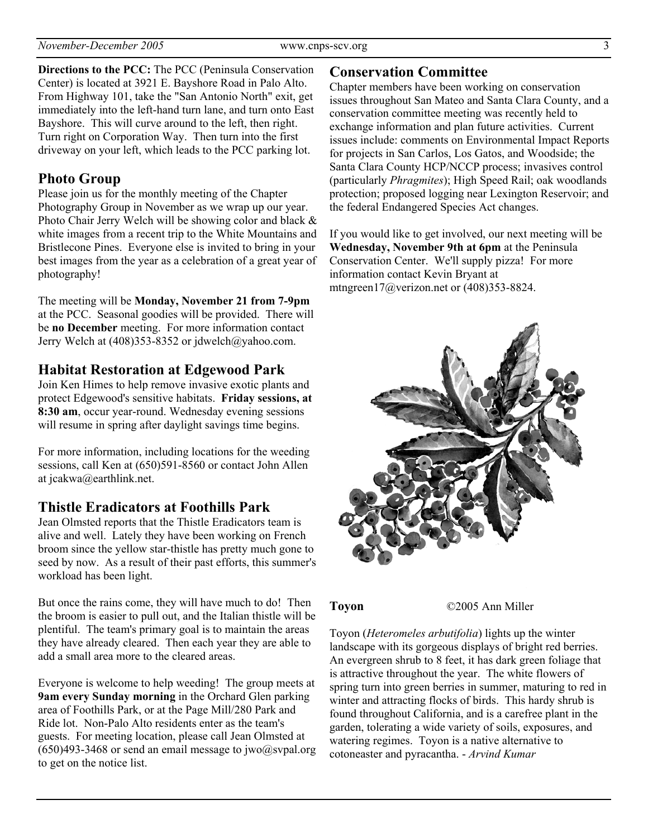**Directions to the PCC:** The PCC (Peninsula Conservation **Conservation Committee** Center) is located at 3921 E. Bayshore Road in Palo Alto. From Highway 101, take the "San Antonio North" exit, get immediately into the left-hand turn lane, and turn onto East Bayshore. This will curve around to the left, then right. Turn right on Corporation Way. Then turn into the first driveway on your left, which leads to the PCC parking lot.

### **Photo Group**

Please join us for the monthly meeting of the Chapter Photography Group in November as we wrap up our year. Photo Chair Jerry Welch will be showing color and black & white images from a recent trip to the White Mountains and Bristlecone Pines. Everyone else is invited to bring in your best images from the year as a celebration of a great year of photography!

The meeting will be **Monday, November 21 from 7-9pm** at the PCC. Seasonal goodies will be provided. There will be **no December** meeting. For more information contact Jerry Welch at (408)353-8352 or jdwelch@yahoo.com.

### **Habitat Restoration at Edgewood Park**

Join Ken Himes to help remove invasive exotic plants and protect Edgewood's sensitive habitats. **Friday sessions, at 8:30 am**, occur year-round. Wednesday evening sessions will resume in spring after daylight savings time begins.

For more information, including locations for the weeding sessions, call Ken at (650)591-8560 or contact John Allen at jcakwa@earthlink.net.

### **Thistle Eradicators at Foothills Park**

Jean Olmsted reports that the Thistle Eradicators team is alive and well. Lately they have been working on French broom since the yellow star-thistle has pretty much gone to seed by now. As a result of their past efforts, this summer's workload has been light.

But once the rains come, they will have much to do! Then the broom is easier to pull out, and the Italian thistle will be plentiful. The team's primary goal is to maintain the areas they have already cleared. Then each year they are able to add a small area more to the cleared areas.

Everyone is welcome to help weeding! The group meets at **9am every Sunday morning** in the Orchard Glen parking area of Foothills Park, or at the Page Mill/280 Park and Ride lot. Non-Palo Alto residents enter as the team's guests. For meeting location, please call Jean Olmsted at  $(650)493-3468$  or send an email message to jwo@svpal.org to get on the notice list.

Chapter members have been working on conservation issues throughout San Mateo and Santa Clara County, and a conservation committee meeting was recently held to exchange information and plan future activities. Current issues include: comments on Environmental Impact Reports for projects in San Carlos, Los Gatos, and Woodside; the Santa Clara County HCP/NCCP process; invasives control (particularly *Phragmites*); High Speed Rail; oak woodlands protection; proposed logging near Lexington Reservoir; and the federal Endangered Species Act changes.

If you would like to get involved, our next meeting will be **Wednesday, November 9th at 6pm** at the Peninsula Conservation Center. We'll supply pizza! For more information contact Kevin Bryant at mtngreen17@verizon.net or (408)353-8824.



**Toyon** ©2005 Ann Miller

Toyon (*Heteromeles arbutifolia*) lights up the winter landscape with its gorgeous displays of bright red berries. An evergreen shrub to 8 feet, it has dark green foliage that is attractive throughout the year. The white flowers of spring turn into green berries in summer, maturing to red in winter and attracting flocks of birds. This hardy shrub is found throughout California, and is a carefree plant in the garden, tolerating a wide variety of soils, exposures, and watering regimes. Toyon is a native alternative to cotoneaster and pyracantha. - *Arvind Kumar*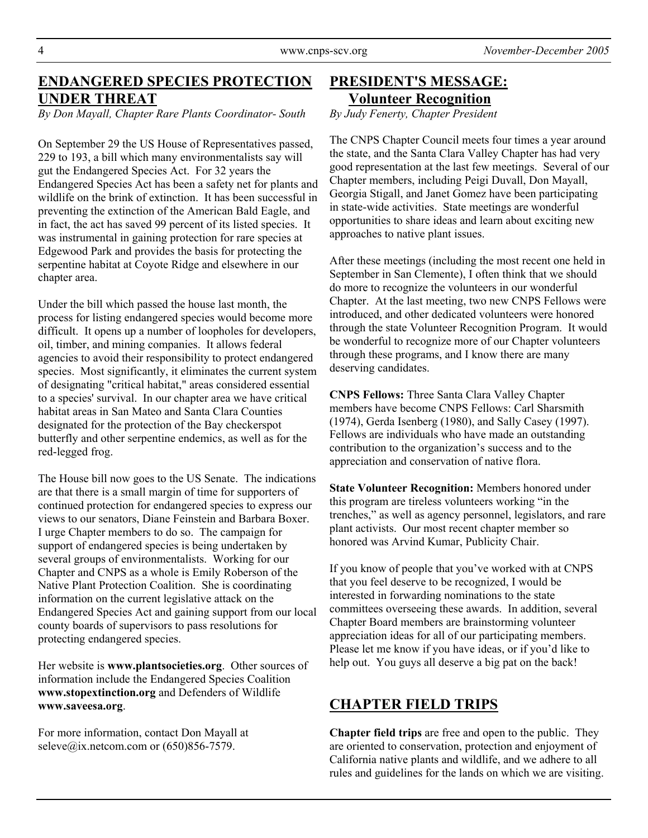# **ENDANGERED SPECIES PROTECTION UNDER THREAT**

*By Don Mayall, Chapter Rare Plants Coordinator- South* 

On September 29 the US House of Representatives passed, 229 to 193, a bill which many environmentalists say will gut the Endangered Species Act. For 32 years the Endangered Species Act has been a safety net for plants and wildlife on the brink of extinction. It has been successful in preventing the extinction of the American Bald Eagle, and in fact, the act has saved 99 percent of its listed species. It was instrumental in gaining protection for rare species at Edgewood Park and provides the basis for protecting the serpentine habitat at Coyote Ridge and elsewhere in our chapter area.

Under the bill which passed the house last month, the process for listing endangered species would become more difficult. It opens up a number of loopholes for developers, oil, timber, and mining companies. It allows federal agencies to avoid their responsibility to protect endangered species. Most significantly, it eliminates the current system of designating "critical habitat," areas considered essential to a species' survival. In our chapter area we have critical habitat areas in San Mateo and Santa Clara Counties designated for the protection of the Bay checkerspot butterfly and other serpentine endemics, as well as for the red-legged frog.

The House bill now goes to the US Senate. The indications are that there is a small margin of time for supporters of continued protection for endangered species to express our views to our senators, Diane Feinstein and Barbara Boxer. I urge Chapter members to do so. The campaign for support of endangered species is being undertaken by several groups of environmentalists. Working for our Chapter and CNPS as a whole is Emily Roberson of the Native Plant Protection Coalition. She is coordinating information on the current legislative attack on the Endangered Species Act and gaining support from our local county boards of supervisors to pass resolutions for protecting endangered species.

Her website is **www.plantsocieties.org**. Other sources of information include the Endangered Species Coalition **www.stopextinction.org** and Defenders of Wildlife **www.saveesa.org**.

For more information, contact Don Mayall at seleve@ix.netcom.com or (650)856-7579.

# **PRESIDENT'S MESSAGE: Volunteer Recognition**

*By Judy Fenerty, Chapter President* 

The CNPS Chapter Council meets four times a year around the state, and the Santa Clara Valley Chapter has had very good representation at the last few meetings. Several of our Chapter members, including Peigi Duvall, Don Mayall, Georgia Stigall, and Janet Gomez have been participating in state-wide activities. State meetings are wonderful opportunities to share ideas and learn about exciting new approaches to native plant issues.

After these meetings (including the most recent one held in September in San Clemente), I often think that we should do more to recognize the volunteers in our wonderful Chapter. At the last meeting, two new CNPS Fellows were introduced, and other dedicated volunteers were honored through the state Volunteer Recognition Program. It would be wonderful to recognize more of our Chapter volunteers through these programs, and I know there are many deserving candidates.

**CNPS Fellows:** Three Santa Clara Valley Chapter members have become CNPS Fellows: Carl Sharsmith (1974), Gerda Isenberg (1980), and Sally Casey (1997). Fellows are individuals who have made an outstanding contribution to the organization's success and to the appreciation and conservation of native flora.

**State Volunteer Recognition:** Members honored under this program are tireless volunteers working "in the trenches," as well as agency personnel, legislators, and rare plant activists. Our most recent chapter member so honored was Arvind Kumar, Publicity Chair.

If you know of people that you've worked with at CNPS that you feel deserve to be recognized, I would be interested in forwarding nominations to the state committees overseeing these awards. In addition, several Chapter Board members are brainstorming volunteer appreciation ideas for all of our participating members. Please let me know if you have ideas, or if you'd like to help out. You guys all deserve a big pat on the back!

# **CHAPTER FIELD TRIPS**

**Chapter field trips** are free and open to the public. They are oriented to conservation, protection and enjoyment of California native plants and wildlife, and we adhere to all rules and guidelines for the lands on which we are visiting.